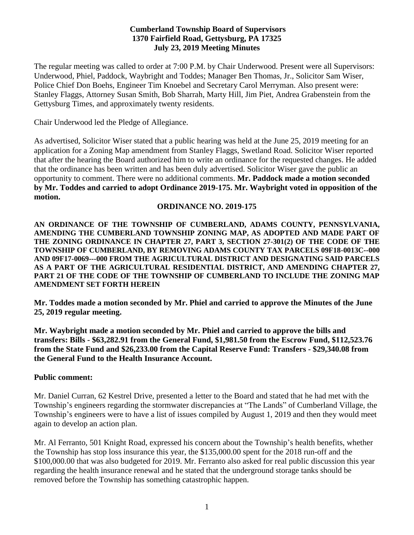## **Cumberland Township Board of Supervisors 1370 Fairfield Road, Gettysburg, PA 17325 July 23, 2019 Meeting Minutes**

The regular meeting was called to order at 7:00 P.M. by Chair Underwood. Present were all Supervisors: Underwood, Phiel, Paddock, Waybright and Toddes; Manager Ben Thomas, Jr., Solicitor Sam Wiser, Police Chief Don Boehs, Engineer Tim Knoebel and Secretary Carol Merryman. Also present were: Stanley Flaggs, Attorney Susan Smith, Bob Sharrah, Marty Hill, Jim Piet, Andrea Grabenstein from the Gettysburg Times, and approximately twenty residents.

Chair Underwood led the Pledge of Allegiance.

As advertised, Solicitor Wiser stated that a public hearing was held at the June 25, 2019 meeting for an application for a Zoning Map amendment from Stanley Flaggs, Swetland Road. Solicitor Wiser reported that after the hearing the Board authorized him to write an ordinance for the requested changes. He added that the ordinance has been written and has been duly advertised. Solicitor Wiser gave the public an opportunity to comment. There were no additional comments. **Mr. Paddock made a motion seconded by Mr. Toddes and carried to adopt Ordinance 2019-175. Mr. Waybright voted in opposition of the motion.**

## **ORDINANCE NO. 2019-175**

**AN ORDINANCE OF THE TOWNSHIP OF CUMBERLAND, ADAMS COUNTY, PENNSYLVANIA, AMENDING THE CUMBERLAND TOWNSHIP ZONING MAP, AS ADOPTED AND MADE PART OF THE ZONING ORDINANCE IN CHAPTER 27, PART 3, SECTION 27-301(2) OF THE CODE OF THE TOWNSHIP OF CUMBERLAND, BY REMOVING ADAMS COUNTY TAX PARCELS 09F18-0013C--000 AND 09F17-0069---000 FROM THE AGRICULTURAL DISTRICT AND DESIGNATING SAID PARCELS AS A PART OF THE AGRICULTURAL RESIDENTIAL DISTRICT, AND AMENDING CHAPTER 27, PART 21 OF THE CODE OF THE TOWNSHIP OF CUMBERLAND TO INCLUDE THE ZONING MAP AMENDMENT SET FORTH HEREIN**

**Mr. Toddes made a motion seconded by Mr. Phiel and carried to approve the Minutes of the June 25, 2019 regular meeting.**

**Mr. Waybright made a motion seconded by Mr. Phiel and carried to approve the bills and transfers: Bills - \$63,282.91 from the General Fund, \$1,981.50 from the Escrow Fund, \$112,523.76 from the State Fund and \$26,233.00 from the Capital Reserve Fund: Transfers - \$29,340.08 from the General Fund to the Health Insurance Account.**

#### **Public comment:**

Mr. Daniel Curran, 62 Kestrel Drive, presented a letter to the Board and stated that he had met with the Township's engineers regarding the stormwater discrepancies at "The Lands" of Cumberland Village, the Township's engineers were to have a list of issues compiled by August 1, 2019 and then they would meet again to develop an action plan.

Mr. Al Ferranto, 501 Knight Road, expressed his concern about the Township's health benefits, whether the Township has stop loss insurance this year, the \$135,000.00 spent for the 2018 run-off and the \$100,000.00 that was also budgeted for 2019. Mr. Ferranto also asked for real public discussion this year regarding the health insurance renewal and he stated that the underground storage tanks should be removed before the Township has something catastrophic happen.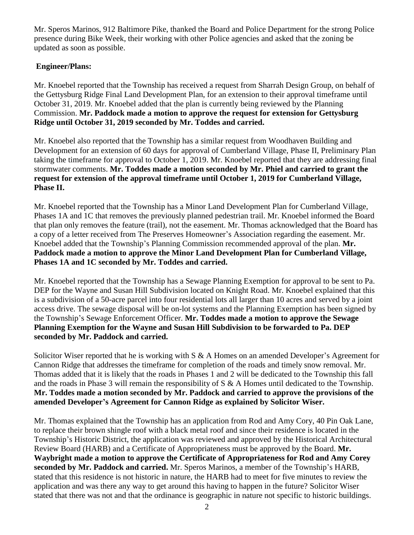Mr. Speros Marinos, 912 Baltimore Pike, thanked the Board and Police Department for the strong Police presence during Bike Week, their working with other Police agencies and asked that the zoning be updated as soon as possible.

# **Engineer/Plans:**

Mr. Knoebel reported that the Township has received a request from Sharrah Design Group, on behalf of the Gettysburg Ridge Final Land Development Plan, for an extension to their approval timeframe until October 31, 2019. Mr. Knoebel added that the plan is currently being reviewed by the Planning Commission. **Mr. Paddock made a motion to approve the request for extension for Gettysburg Ridge until October 31, 2019 seconded by Mr. Toddes and carried.**

Mr. Knoebel also reported that the Township has a similar request from Woodhaven Building and Development for an extension of 60 days for approval of Cumberland Village, Phase II, Preliminary Plan taking the timeframe for approval to October 1, 2019. Mr. Knoebel reported that they are addressing final stormwater comments. **Mr. Toddes made a motion seconded by Mr. Phiel and carried to grant the request for extension of the approval timeframe until October 1, 2019 for Cumberland Village, Phase II.** 

Mr. Knoebel reported that the Township has a Minor Land Development Plan for Cumberland Village, Phases 1A and 1C that removes the previously planned pedestrian trail. Mr. Knoebel informed the Board that plan only removes the feature (trail), not the easement. Mr. Thomas acknowledged that the Board has a copy of a letter received from The Preserves Homeowner's Association regarding the easement. Mr. Knoebel added that the Township's Planning Commission recommended approval of the plan. **Mr. Paddock made a motion to approve the Minor Land Development Plan for Cumberland Village, Phases 1A and 1C seconded by Mr. Toddes and carried.** 

Mr. Knoebel reported that the Township has a Sewage Planning Exemption for approval to be sent to Pa. DEP for the Wayne and Susan Hill Subdivision located on Knight Road. Mr. Knoebel explained that this is a subdivision of a 50-acre parcel into four residential lots all larger than 10 acres and served by a joint access drive. The sewage disposal will be on-lot systems and the Planning Exemption has been signed by the Township's Sewage Enforcement Officer. **Mr. Toddes made a motion to approve the Sewage Planning Exemption for the Wayne and Susan Hill Subdivision to be forwarded to Pa. DEP seconded by Mr. Paddock and carried.**

Solicitor Wiser reported that he is working with S & A Homes on an amended Developer's Agreement for Cannon Ridge that addresses the timeframe for completion of the roads and timely snow removal. Mr. Thomas added that it is likely that the roads in Phases 1 and 2 will be dedicated to the Township this fall and the roads in Phase 3 will remain the responsibility of S & A Homes until dedicated to the Township. **Mr. Toddes made a motion seconded by Mr. Paddock and carried to approve the provisions of the amended Developer's Agreement for Cannon Ridge as explained by Solicitor Wiser.**

Mr. Thomas explained that the Township has an application from Rod and Amy Cory, 40 Pin Oak Lane, to replace their brown shingle roof with a black metal roof and since their residence is located in the Township's Historic District, the application was reviewed and approved by the Historical Architectural Review Board (HARB) and a Certificate of Appropriateness must be approved by the Board. **Mr. Waybright made a motion to approve the Certificate of Appropriateness for Rod and Amy Corey seconded by Mr. Paddock and carried.** Mr. Speros Marinos, a member of the Township's HARB, stated that this residence is not historic in nature, the HARB had to meet for five minutes to review the application and was there any way to get around this having to happen in the future? Solicitor Wiser stated that there was not and that the ordinance is geographic in nature not specific to historic buildings.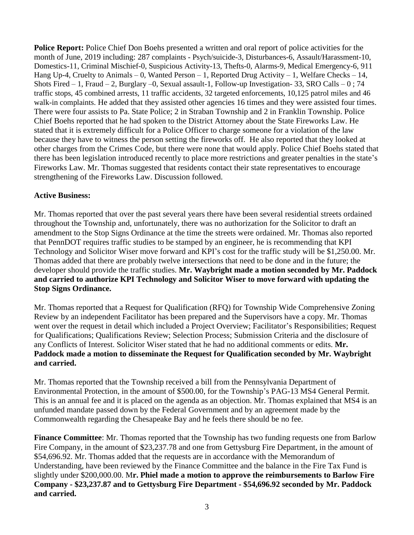**Police Report:** Police Chief Don Boehs presented a written and oral report of police activities for the month of June, 2019 including: 287 complaints - Psych/suicide-3, Disturbances-6, Assault/Harassment-10, Domestics-11, Criminal Mischief-0, Suspicious Activity-13, Thefts-0, Alarms-9, Medical Emergency-6, 911 Hang Up-4, Cruelty to Animals – 0, Wanted Person – 1, Reported Drug Activity – 1, Welfare Checks – 14, Shots Fired  $-1$ , Fraud  $-2$ , Burglary  $-0$ , Sexual assault-1, Follow-up Investigation-33, SRO Calls  $-0$ ; 74 traffic stops, 45 combined arrests, 11 traffic accidents, 32 targeted enforcements, 10,125 patrol miles and 46 walk-in complaints. He added that they assisted other agencies 16 times and they were assisted four times. There were four assists to Pa. State Police; 2 in Straban Township and 2 in Franklin Township. Police Chief Boehs reported that he had spoken to the District Attorney about the State Fireworks Law. He stated that it is extremely difficult for a Police Officer to charge someone for a violation of the law because they have to witness the person setting the fireworks off. He also reported that they looked at other charges from the Crimes Code, but there were none that would apply. Police Chief Boehs stated that there has been legislation introduced recently to place more restrictions and greater penalties in the state's Fireworks Law. Mr. Thomas suggested that residents contact their state representatives to encourage strengthening of the Fireworks Law. Discussion followed.

# **Active Business:**

Mr. Thomas reported that over the past several years there have been several residential streets ordained throughout the Township and, unfortunately, there was no authorization for the Solicitor to draft an amendment to the Stop Signs Ordinance at the time the streets were ordained. Mr. Thomas also reported that PennDOT requires traffic studies to be stamped by an engineer, he is recommending that KPI Technology and Solicitor Wiser move forward and KPI's cost for the traffic study will be \$1,250.00. Mr. Thomas added that there are probably twelve intersections that need to be done and in the future; the developer should provide the traffic studies. **Mr. Waybright made a motion seconded by Mr. Paddock and carried to authorize KPI Technology and Solicitor Wiser to move forward with updating the Stop Signs Ordinance.** 

Mr. Thomas reported that a Request for Qualification (RFQ) for Township Wide Comprehensive Zoning Review by an independent Facilitator has been prepared and the Supervisors have a copy. Mr. Thomas went over the request in detail which included a Project Overview; Facilitator's Responsibilities; Request for Qualifications; Qualifications Review; Selection Process; Submission Criteria and the disclosure of any Conflicts of Interest. Solicitor Wiser stated that he had no additional comments or edits. **Mr. Paddock made a motion to disseminate the Request for Qualification seconded by Mr. Waybright and carried.**

Mr. Thomas reported that the Township received a bill from the Pennsylvania Department of Environmental Protection, in the amount of \$500.00, for the Township's PAG-13 MS4 General Permit. This is an annual fee and it is placed on the agenda as an objection. Mr. Thomas explained that MS4 is an unfunded mandate passed down by the Federal Government and by an agreement made by the Commonwealth regarding the Chesapeake Bay and he feels there should be no fee.

**Finance Committee**: Mr. Thomas reported that the Township has two funding requests one from Barlow Fire Company, in the amount of \$23,237.78 and one from Gettysburg Fire Department, in the amount of \$54,696.92. Mr. Thomas added that the requests are in accordance with the Memorandum of Understanding, have been reviewed by the Finance Committee and the balance in the Fire Tax Fund is slightly under \$200,000.00. M**r. Phiel made a motion to approve the reimbursements to Barlow Fire Company - \$23,237.87 and to Gettysburg Fire Department - \$54,696.92 seconded by Mr. Paddock and carried.**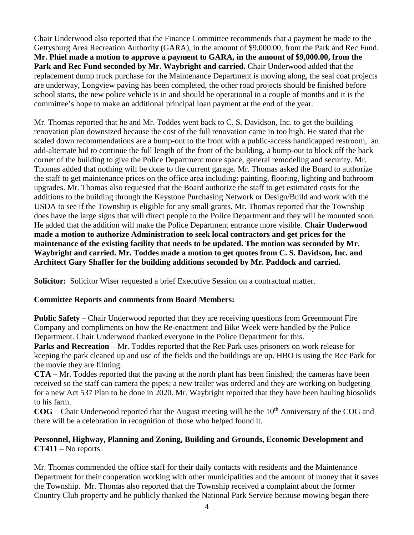Chair Underwood also reported that the Finance Committee recommends that a payment be made to the Gettysburg Area Recreation Authority (GARA), in the amount of \$9,000.00, from the Park and Rec Fund. **Mr. Phiel made a motion to approve a payment to GARA, in the amount of \$9,000.00, from the**  Park and Rec Fund seconded by Mr. Waybright and carried. Chair Underwood added that the replacement dump truck purchase for the Maintenance Department is moving along, the seal coat projects are underway, Longview paving has been completed, the other road projects should be finished before school starts, the new police vehicle is in and should be operational in a couple of months and it is the committee's hope to make an additional principal loan payment at the end of the year.

Mr. Thomas reported that he and Mr. Toddes went back to C. S. Davidson, Inc. to get the building renovation plan downsized because the cost of the full renovation came in too high. He stated that the scaled down recommendations are a bump-out to the front with a public-access handicapped restroom, an add-alternate bid to continue the full length of the front of the building, a bump-out to block off the back corner of the building to give the Police Department more space, general remodeling and security. Mr. Thomas added that nothing will be done to the current garage. Mr. Thomas asked the Board to authorize the staff to get maintenance prices on the office area including: painting, flooring, lighting and bathroom upgrades. Mr. Thomas also requested that the Board authorize the staff to get estimated costs for the additions to the building through the Keystone Purchasing Network or Design/Build and work with the USDA to see if the Township is eligible for any small grants. Mr. Thomas reported that the Township does have the large signs that will direct people to the Police Department and they will be mounted soon. He added that the addition will make the Police Department entrance more visible. **Chair Underwood made a motion to authorize Administration to seek local contractors and get prices for the maintenance of the existing facility that needs to be updated. The motion was seconded by Mr. Waybright and carried. Mr. Toddes made a motion to get quotes from C. S. Davidson, Inc. and Architect Gary Shaffer for the building additions seconded by Mr. Paddock and carried.**

**Solicitor:** Solicitor Wiser requested a brief Executive Session on a contractual matter.

# **Committee Reports and comments from Board Members:**

**Public Safety** – Chair Underwood reported that they are receiving questions from Greenmount Fire Company and compliments on how the Re-enactment and Bike Week were handled by the Police Department. Chair Underwood thanked everyone in the Police Department for this.

**Parks and Recreation –** Mr. Toddes reported that the Rec Park uses prisoners on work release for keeping the park cleaned up and use of the fields and the buildings are up. HBO is using the Rec Park for the movie they are filming.

**CTA** – Mr. Toddes reported that the paving at the north plant has been finished; the cameras have been received so the staff can camera the pipes; a new trailer was ordered and they are working on budgeting for a new Act 537 Plan to be done in 2020. Mr. Waybright reported that they have been hauling biosolids to his farm.

**COG** – Chair Underwood reported that the August meeting will be the 10<sup>th</sup> Anniversary of the COG and there will be a celebration in recognition of those who helped found it.

# **Personnel, Highway, Planning and Zoning, Building and Grounds, Economic Development and CT411 –** No reports.

Mr. Thomas commended the office staff for their daily contacts with residents and the Maintenance Department for their cooperation working with other municipalities and the amount of money that it saves the Township. Mr. Thomas also reported that the Township received a complaint about the former Country Club property and he publicly thanked the National Park Service because mowing began there